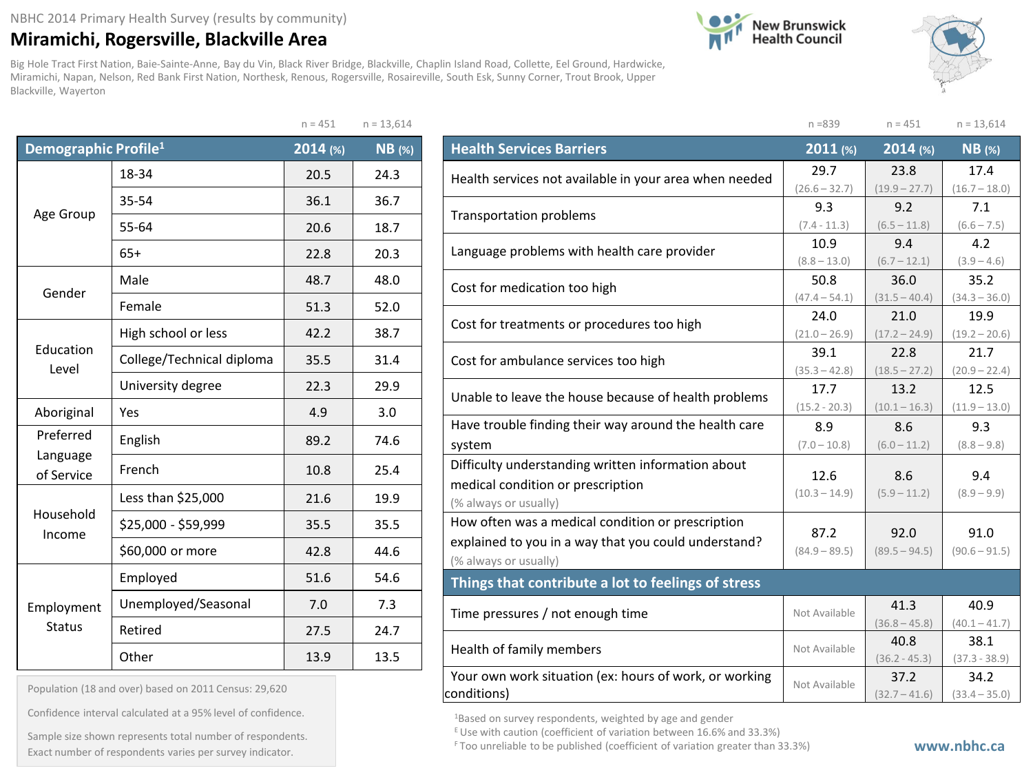## **Miramichi, Rogersville, Blackville Area**

Big Hole Tract First Nation, Baie-Sainte-Anne, Bay du Vin, Black River Bridge, Blackville, Chaplin Island Road, Collette, Eel Ground, Hardwicke, Miramichi, Napan, Nelson, Red Bank First Nation, Northesk, Renous, Rogersville, Rosaireville, South Esk, Sunny Corner, Trout Brook, Upper Blackville, Wayerton





|                                  |                           | $n = 451$ | $n = 13,614$ |
|----------------------------------|---------------------------|-----------|--------------|
| Demographic Profile <sup>1</sup> |                           | 2014 (%)  | $NB$ (%)     |
|                                  | 18-34                     | 20.5      | 24.3         |
|                                  | 35-54                     | 36.1      | 36.7         |
| Age Group                        | 55-64                     | 20.6      | 18.7         |
|                                  | $65+$                     | 22.8      | 20.3         |
| Gender                           | Male                      | 48.7      | 48.0         |
|                                  | Female                    | 51.3      | 52.0         |
|                                  | High school or less       | 42.2      | 38.7         |
| Education<br>Level               | College/Technical diploma | 35.5      | 31.4         |
|                                  | University degree         | 22.3      | 29.9         |
| Aboriginal                       | Yes                       | 4.9       | 3.0          |
| Preferred                        | English                   | 89.2      | 74.6         |
| Language<br>of Service           | French                    | 10.8      | 25.4         |
|                                  | Less than \$25,000        | 21.6      | 19.9         |
| Household<br>Income              | \$25,000 - \$59,999       | 35.5      | 35.5         |
|                                  | \$60,000 or more          | 42.8      | 44.6         |
|                                  | Employed                  | 51.6      | 54.6         |
| Employment                       | Unemployed/Seasonal       | 7.0       | 7.3          |
| <b>Status</b>                    | Retired                   | 27.5      | 24.7         |
|                                  | Other                     | 13.9      | 13.5         |

| Population (18 and over) based on 2011 Census: 29,620 |  |  |  |  |  |  |  |
|-------------------------------------------------------|--|--|--|--|--|--|--|
|-------------------------------------------------------|--|--|--|--|--|--|--|

Confidence interval calculated at a 95% level of confidence.

Exact number of respondents varies per survey indicator. **Exact number of respondents varies per survey** indicator. Sample size shown represents total number of respondents.

|                                                        | $n = 839$               | $n = 451$               | $n = 13,614$            |
|--------------------------------------------------------|-------------------------|-------------------------|-------------------------|
| <b>Health Services Barriers</b>                        | 2011 (%)                | 2014 (%)                | $NB$ (%)                |
| Health services not available in your area when needed | 29.7                    | 23.8                    | 17.4                    |
|                                                        | $(26.6 - 32.7)$         | $(19.9 - 27.7)$         | $(16.7 - 18.0)$         |
| <b>Transportation problems</b>                         | 9.3                     | 9.2                     | 7.1                     |
|                                                        | $(7.4 - 11.3)$          | $(6.5 - 11.8)$          | $(6.6 - 7.5)$           |
| Language problems with health care provider            | 10.9                    | 9.4                     | 4.2                     |
|                                                        | $(8.8 - 13.0)$          | $(6.7 - 12.1)$          | $(3.9 - 4.6)$           |
| Cost for medication too high                           | 50.8<br>$(47.4 - 54.1)$ | 36.0<br>$(31.5 - 40.4)$ | 35.2<br>$(34.3 - 36.0)$ |
|                                                        | 24.0                    | 21.0                    | 19.9                    |
| Cost for treatments or procedures too high             | $(21.0 - 26.9)$         | $(17.2 - 24.9)$         | $(19.2 - 20.6)$         |
|                                                        | 39.1                    | 22.8                    | 21.7                    |
| Cost for ambulance services too high                   | $(35.3 - 42.8)$         | $(18.5 - 27.2)$         | $(20.9 - 22.4)$         |
| Unable to leave the house because of health problems   | 17.7                    | 13.2                    | 12.5                    |
|                                                        | $(15.2 - 20.3)$         | $(10.1 - 16.3)$         | $(11.9 - 13.0)$         |
| Have trouble finding their way around the health care  | 8.9                     | 8.6                     | 9.3                     |
| system                                                 | $(7.0 - 10.8)$          | $(6.0 - 11.2)$          | $(8.8 - 9.8)$           |
| Difficulty understanding written information about     | 12.6                    | 8.6                     | 9.4                     |
| medical condition or prescription                      | $(10.3 - 14.9)$         | $(5.9 - 11.2)$          | $(8.9 - 9.9)$           |
| (% always or usually)                                  |                         |                         |                         |
| How often was a medical condition or prescription      | 87.2                    | 92.0                    | 91.0                    |
| explained to you in a way that you could understand?   | $(84.9 - 89.5)$         | $(89.5 - 94.5)$         | $(90.6 - 91.5)$         |
| (% always or usually)                                  |                         |                         |                         |
| Things that contribute a lot to feelings of stress     |                         |                         |                         |
| Time pressures / not enough time                       | Not Available           | 41.3                    | 40.9                    |
|                                                        |                         | $(36.8 - 45.8)$         | $(40.1 - 41.7)$         |
| Health of family members                               | Not Available           | 40.8                    | 38.1                    |
|                                                        |                         | $(36.2 - 45.3)$         | $(37.3 - 38.9)$         |
| Your own work situation (ex: hours of work, or working | Not Available           | 37.2                    | 34.2                    |
| conditions)                                            |                         | $(32.7 - 41.6)$         | $(33.4 - 35.0)$         |

1Based on survey respondents, weighted by age and gender

E Use with caution (coefficient of variation between 16.6% and 33.3%)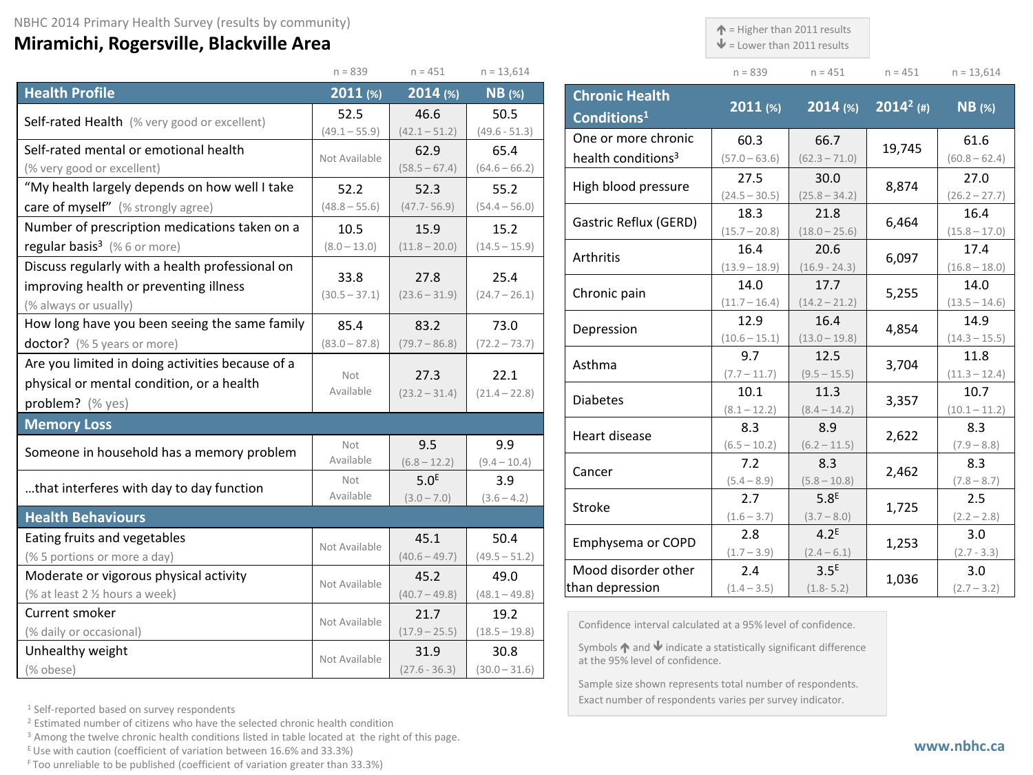## **Miramichi, Rogersville, Blackville Area**

 $\uparrow$  = Higher than 2011 results

 $\blacklozenge$  = Lower than 2011 results

 $n = 839$   $n = 451$   $n = 451$   $n = 13,614$ 

|                                                  | $n = 839$               | $n = 451$               | $n = 13,614$            |
|--------------------------------------------------|-------------------------|-------------------------|-------------------------|
| <b>Health Profile</b>                            | 2011 (%)                | 2014 (%)                | $NB$ (%)                |
| Self-rated Health (% very good or excellent)     | 52.5                    | 46.6                    | 50.5                    |
|                                                  | $(49.1 - 55.9)$         | $(42.1 - 51.2)$         | $(49.6 - 51.3)$         |
| Self-rated mental or emotional health            | Not Available           | 62.9                    | 65.4                    |
| (% very good or excellent)                       |                         | $(58.5 - 67.4)$         | $(64.6 - 66.2)$         |
| "My health largely depends on how well I take    | 52.2                    | 52.3                    | 55.2                    |
| care of myself" (% strongly agree)               | $(48.8 - 55.6)$         | $(47.7 - 56.9)$         | $(54.4 - 56.0)$         |
| Number of prescription medications taken on a    | 10.5                    | 15.9                    | 15.2                    |
| regular basis <sup>3</sup> (%6 or more)          | $(8.0 - 13.0)$          | $(11.8 - 20.0)$         | $(14.5 - 15.9)$         |
| Discuss regularly with a health professional on  |                         |                         |                         |
| improving health or preventing illness           | 33.8<br>$(30.5 - 37.1)$ | 27.8<br>$(23.6 - 31.9)$ | 25.4<br>$(24.7 - 26.1)$ |
| (% always or usually)                            |                         |                         |                         |
| How long have you been seeing the same family    | 85.4                    | 83.2                    | 73.0                    |
| doctor? (% 5 years or more)                      | $(83.0 - 87.8)$         | $(79.7 - 86.8)$         | $(72.2 - 73.7)$         |
| Are you limited in doing activities because of a |                         |                         |                         |
| physical or mental condition, or a health        | Not<br>Available        | 27.3                    | 22.1                    |
| problem? (% yes)                                 |                         | $(23.2 - 31.4)$         | $(21.4 - 22.8)$         |
| <b>Memory Loss</b>                               |                         |                         |                         |
| Someone in household has a memory problem        | Not                     | 9.5                     | 9.9                     |
|                                                  | Available               | $(6.8 - 12.2)$          | $(9.4 - 10.4)$          |
| that interferes with day to day function         | Not                     | 5.0 <sup>E</sup>        | 3.9                     |
|                                                  | Available               | $(3.0 - 7.0)$           | $(3.6 - 4.2)$           |
| <b>Health Behaviours</b>                         |                         |                         |                         |
| Eating fruits and vegetables                     | Not Available           | 45.1                    | 50.4                    |
| (% 5 portions or more a day)                     |                         | $(40.6 - 49.7)$         | $(49.5 - 51.2)$         |
| Moderate or vigorous physical activity           | Not Available           | 45.2                    | 49.0                    |
| (% at least 2 1/2 hours a week)                  |                         | $(40.7 - 49.8)$         | $(48.1 - 49.8)$         |
| Current smoker                                   | Not Available           | 21.7                    | 19.2                    |
| (% daily or occasional)                          |                         | $(17.9 - 25.5)$         | $(18.5 - 19.8)$         |
| Unhealthy weight                                 | Not Available           | 31.9                    | 30.8                    |
| (% obese)                                        |                         | $(27.6 - 36.3)$         | $(30.0 - 31.6)$         |

| <b>Chronic Health</b><br>Conditions <sup>1</sup> | $2011$ (%)              | $2014$ (%)                        | $2014^2$ (#) | <b>NB</b> (%)           |
|--------------------------------------------------|-------------------------|-----------------------------------|--------------|-------------------------|
| One or more chronic                              | 60.3                    | 66.7                              | 19,745       | 61.6                    |
| health conditions <sup>3</sup>                   | $(57.0 - 63.6)$         | $(62.3 - 71.0)$                   |              | $(60.8 - 62.4)$         |
| High blood pressure                              | 27.5<br>$(24.5 - 30.5)$ | 30.0<br>$(25.8 - 34.2)$           | 8,874        | 27.0<br>$(26.2 - 27.7)$ |
| Gastric Reflux (GERD)                            | 18.3                    | 21.8                              | 6,464        | 16.4                    |
|                                                  | $(15.7 - 20.8)$         | $(18.0 - 25.6)$                   |              | $(15.8 - 17.0)$         |
| Arthritis                                        | 16.4<br>$(13.9 - 18.9)$ | 20.6<br>$(16.9 - 24.3)$           | 6,097        | 17.4<br>$(16.8 - 18.0)$ |
|                                                  | 14.0                    | 17.7                              |              | 14.0                    |
| Chronic pain                                     | $(11.7 - 16.4)$         | $(14.2 - 21.2)$                   | 5,255        | $(13.5 - 14.6)$         |
| Depression                                       | 12.9                    | 16.4                              | 4,854        | 14.9                    |
|                                                  | $(10.6 - 15.1)$         | $(13.0 - 19.8)$                   |              | $(14.3 - 15.5)$         |
| Asthma                                           | 9.7                     | 12.5                              | 3,704        | 11.8                    |
|                                                  | $(7.7 - 11.7)$          | $(9.5 - 15.5)$                    |              | $(11.3 - 12.4)$         |
| <b>Diabetes</b>                                  | 10.1<br>$(8.1 - 12.2)$  | 11.3<br>$(8.4 - 14.2)$            | 3,357        | 10.7<br>$(10.1 - 11.2)$ |
| Heart disease                                    | 8.3                     | 8.9                               | 2,622        | 8.3                     |
|                                                  | $(6.5 - 10.2)$          | $(6.2 - 11.5)$                    |              | $(7.9 - 8.8)$           |
| Cancer                                           | 7.2                     | 8.3                               | 2,462        | 8.3                     |
|                                                  | $(5.4 - 8.9)$           | $(5.8 - 10.8)$                    |              | $(7.8 - 8.7)$           |
| Stroke                                           | 2.7<br>$(1.6 - 3.7)$    | 5.8 <sup>E</sup><br>$(3.7 - 8.0)$ | 1,725        | 2.5<br>$(2.2 - 2.8)$    |
|                                                  | 2.8                     | 4.2 <sup>E</sup>                  |              | 3.0                     |
| Emphysema or COPD                                | $(1.7 - 3.9)$           | $(2.4 - 6.1)$                     | 1,253        | $(2.7 - 3.3)$           |
| Mood disorder other                              | 2.4                     | 3.5 <sup>E</sup>                  | 1,036        | 3.0                     |
| than depression                                  | $(1.4 - 3.5)$           | $(1.8 - 5.2)$                     |              | $(2.7 - 3.2)$           |

Confidence interval calculated at a 95% level of confidence.

Symbols  $\bigwedge$  and  $\bigvee$  indicate a statistically significant difference at the 95% level of confidence.

Sample size shown represents total number of respondents. Exact number of respondents varies per survey indicator.

<sup>1</sup> Self-reported based on survey respondents

<sup>2</sup> Estimated number of citizens who have the selected chronic health condition

<sup>3</sup> Among the twelve chronic health conditions listed in table located at the right of this page.

 $E$  Use with caution (coefficient of variation between 16.6% and 33.3%)

F Too unreliable to be published (coefficient of variation greater than 33.3%)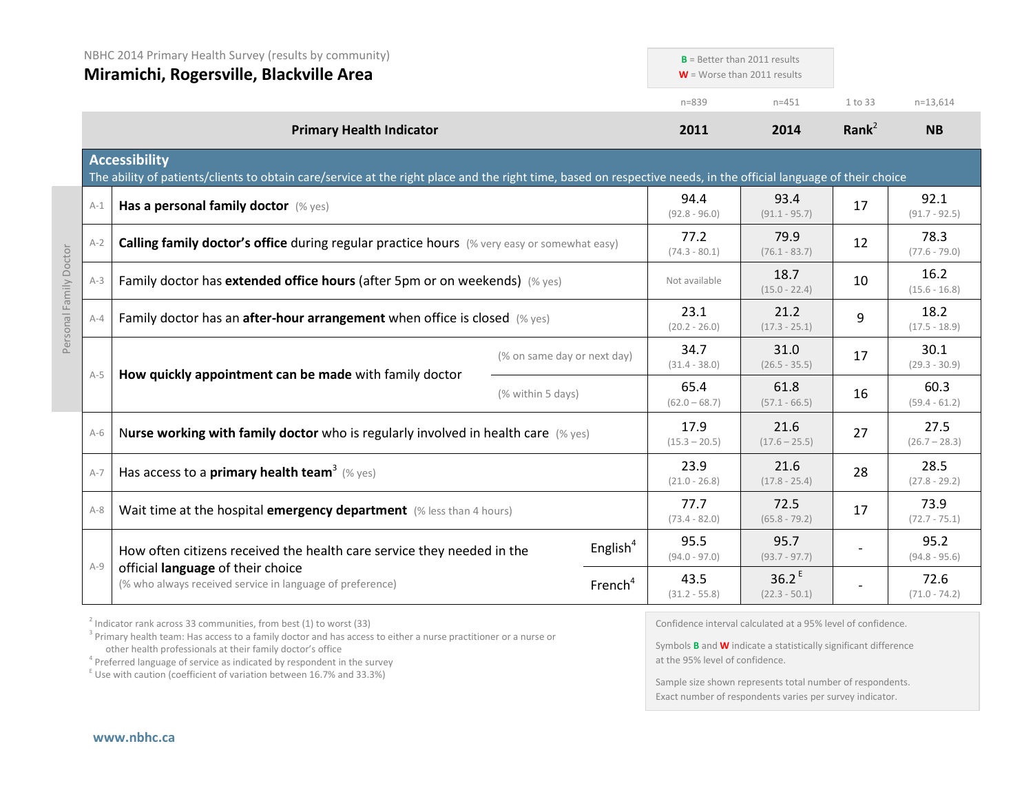|       | NBHC 2014 Primary Health Survey (results by community)<br>Miramichi, Rogersville, Blackville Area                                                                                         |                             | $B =$ Better than 2011 results<br>$W =$ Worse than 2011 results |                                      |                   |                         |
|-------|-------------------------------------------------------------------------------------------------------------------------------------------------------------------------------------------|-----------------------------|-----------------------------------------------------------------|--------------------------------------|-------------------|-------------------------|
|       |                                                                                                                                                                                           |                             | $n = 839$                                                       | $n = 451$                            | 1 to 33           | $n=13,614$              |
|       | <b>Primary Health Indicator</b>                                                                                                                                                           |                             | 2011                                                            | 2014                                 | Rank <sup>2</sup> | <b>NB</b>               |
|       | <b>Accessibility</b><br>The ability of patients/clients to obtain care/service at the right place and the right time, based on respective needs, in the official language of their choice |                             |                                                                 |                                      |                   |                         |
| $A-1$ | Has a personal family doctor (% yes)                                                                                                                                                      |                             | 94.4<br>$(92.8 - 96.0)$                                         | 93.4<br>$(91.1 - 95.7)$              | 17                | 92.1<br>$(91.7 - 92.5)$ |
| $A-2$ | Calling family doctor's office during regular practice hours (% very easy or somewhat easy)                                                                                               |                             | 77.2<br>$(74.3 - 80.1)$                                         | 79.9<br>$(76.1 - 83.7)$              | 12                | 78.3<br>$(77.6 - 79.0)$ |
| $A-3$ | Family doctor has extended office hours (after 5pm or on weekends) (% yes)                                                                                                                |                             | Not available                                                   | 18.7<br>$(15.0 - 22.4)$              | 10                | 16.2<br>$(15.6 - 16.8)$ |
| $A-4$ | Family doctor has an after-hour arrangement when office is closed (% yes)                                                                                                                 |                             | 23.1<br>$(20.2 - 26.0)$                                         | 21.2<br>$(17.3 - 25.1)$              | 9                 | 18.2<br>$(17.5 - 18.9)$ |
| $A-5$ |                                                                                                                                                                                           | (% on same day or next day) | 34.7<br>$(31.4 - 38.0)$                                         | 31.0<br>$(26.5 - 35.5)$              | 17                | 30.1<br>$(29.3 - 30.9)$ |
|       | How quickly appointment can be made with family doctor<br>(% within 5 days)                                                                                                               |                             | 65.4<br>$(62.0 - 68.7)$                                         | 61.8<br>$(57.1 - 66.5)$              | 16                | 60.3<br>$(59.4 - 61.2)$ |
| $A-6$ | Nurse working with family doctor who is regularly involved in health care $(\%$ yes)                                                                                                      |                             | 17.9<br>$(15.3 - 20.5)$                                         | 21.6<br>$(17.6 - 25.5)$              | 27                | 27.5<br>$(26.7 - 28.3)$ |
| $A-7$ | Has access to a <b>primary health team</b> <sup>3</sup> (% yes)                                                                                                                           |                             | 23.9<br>$(21.0 - 26.8)$                                         | 21.6<br>$(17.8 - 25.4)$              | 28                | 28.5<br>$(27.8 - 29.2)$ |
| $A-8$ | Wait time at the hospital emergency department (% less than 4 hours)                                                                                                                      |                             | 77.7<br>$(73.4 - 82.0)$                                         | 72.5<br>$(65.8 - 79.2)$              | 17                | 73.9<br>$(72.7 - 75.1)$ |
|       | How often citizens received the health care service they needed in the                                                                                                                    | English $4$                 | 95.5<br>$(94.0 - 97.0)$                                         | 95.7<br>$(93.7 - 97.7)$              |                   | 95.2<br>$(94.8 - 95.6)$ |
| $A-9$ | official language of their choice<br>(% who always received service in language of preference)                                                                                            | French <sup>4</sup>         | 43.5<br>$(31.2 - 55.8)$                                         | 36.2 <sup>E</sup><br>$(22.3 - 50.1)$ |                   | 72.6<br>$(71.0 - 74.2)$ |

 $2$  Indicator rank across 33 communities, from best (1) to worst (33)

<sup>3</sup> Primary health team: Has access to a family doctor and has access to either a nurse practitioner or a nurse or other health professionals at their family doctor's office

<sup>4</sup> Preferred language of service as indicated by respondent in the survey  $E$ <sup>E</sup> Use with caution (coefficient of variation between 16.7% and 33.3%)

Confidence interval calculated at a 95% level of confidence.

Symbols **B** and **W** indicate a statistically significant difference at the 95% level of confidence.

Sample size shown represents total number of respondents. Exact number of respondents varies per survey indicator.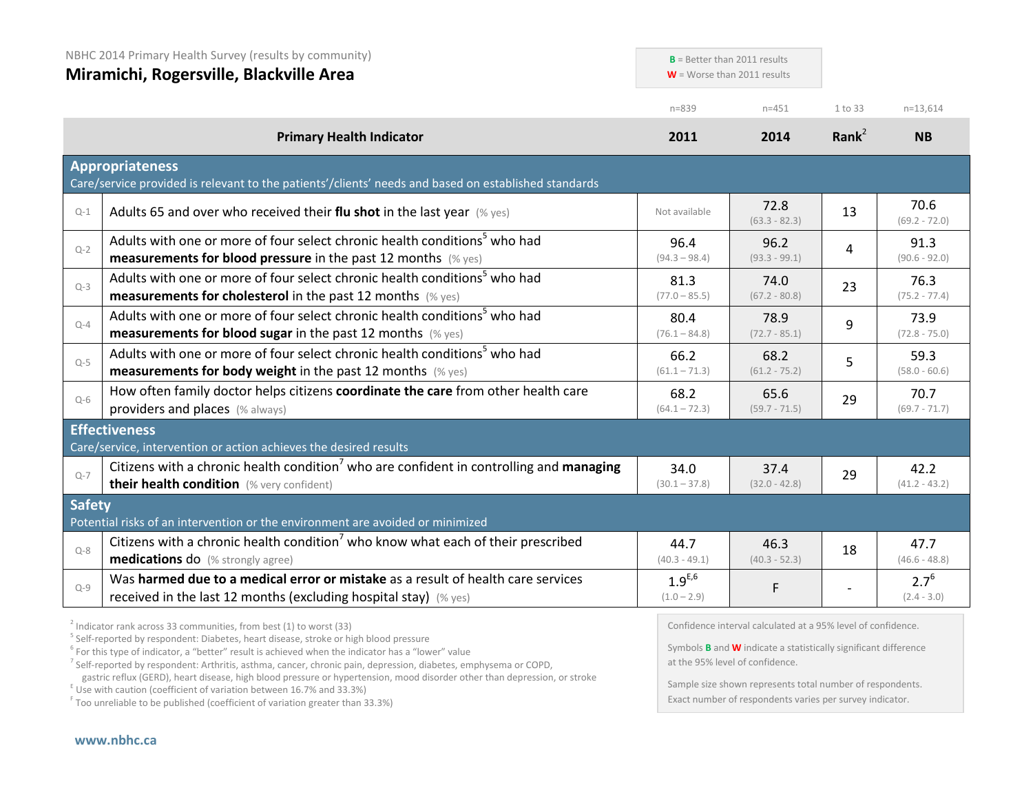| NBHC 2014 Primary Health Survey (results by community)<br>Miramichi, Rogersville, Blackville Area |                                                                                                                                                                                                                       | $B =$ Better than 2011 results<br>$W =$ Worse than 2011 results |                         |                   |                            |
|---------------------------------------------------------------------------------------------------|-----------------------------------------------------------------------------------------------------------------------------------------------------------------------------------------------------------------------|-----------------------------------------------------------------|-------------------------|-------------------|----------------------------|
|                                                                                                   |                                                                                                                                                                                                                       | $n = 839$                                                       | $n = 451$               | 1 to 33           | $n=13,614$                 |
|                                                                                                   | <b>Primary Health Indicator</b>                                                                                                                                                                                       | 2011                                                            | 2014                    | Rank <sup>2</sup> | <b>NB</b>                  |
|                                                                                                   | <b>Appropriateness</b><br>Care/service provided is relevant to the patients'/clients' needs and based on established standards                                                                                        |                                                                 |                         |                   |                            |
| $Q-1$                                                                                             | Adults 65 and over who received their flu shot in the last year $(\%$ yes)                                                                                                                                            | Not available                                                   | 72.8<br>$(63.3 - 82.3)$ | 13                | 70.6<br>$(69.2 - 72.0)$    |
| $Q - 2$                                                                                           | Adults with one or more of four select chronic health conditions <sup>5</sup> who had<br><b>measurements for blood pressure</b> in the past 12 months (% yes)                                                         | 96.4<br>$(94.3 - 98.4)$                                         | 96.2<br>$(93.3 - 99.1)$ | 4                 | 91.3<br>$(90.6 - 92.0)$    |
| $Q-3$                                                                                             | Adults with one or more of four select chronic health conditions <sup>5</sup> who had<br><b>measurements for cholesterol</b> in the past 12 months $(\%$ yes)                                                         | 81.3<br>$(77.0 - 85.5)$                                         | 74.0<br>$(67.2 - 80.8)$ | 23                | 76.3<br>$(75.2 - 77.4)$    |
| $Q-4$                                                                                             | Adults with one or more of four select chronic health conditions <sup>5</sup> who had<br><b>measurements for blood sugar in the past 12 months</b> (% yes)                                                            | 80.4<br>$(76.1 - 84.8)$                                         | 78.9<br>$(72.7 - 85.1)$ | 9                 | 73.9<br>$(72.8 - 75.0)$    |
| $Q-5$                                                                                             | Adults with one or more of four select chronic health conditions <sup>5</sup> who had<br><b>measurements for body weight</b> in the past 12 months $(\%$ yes)                                                         | 66.2<br>$(61.1 - 71.3)$                                         | 68.2<br>$(61.2 - 75.2)$ | 5                 | 59.3<br>$(58.0 - 60.6)$    |
| $Q-6$                                                                                             | How often family doctor helps citizens coordinate the care from other health care<br>providers and places (% always)                                                                                                  | 68.2<br>$(64.1 - 72.3)$                                         | 65.6<br>$(59.7 - 71.5)$ | 29                | 70.7<br>$(69.7 - 71.7)$    |
|                                                                                                   | <b>Effectiveness</b>                                                                                                                                                                                                  |                                                                 |                         |                   |                            |
| $Q - 7$                                                                                           | Care/service, intervention or action achieves the desired results<br>Citizens with a chronic health condition <sup>7</sup> who are confident in controlling and managing<br>their health condition (% very confident) | 34.0<br>$(30.1 - 37.8)$                                         | 37.4<br>$(32.0 - 42.8)$ | 29                | 42.2<br>$(41.2 - 43.2)$    |
| <b>Safety</b>                                                                                     | Potential risks of an intervention or the environment are avoided or minimized                                                                                                                                        |                                                                 |                         |                   |                            |
| $Q - 8$                                                                                           | Citizens with a chronic health condition <sup>7</sup> who know what each of their prescribed<br>medications do (% strongly agree)                                                                                     | 44.7<br>$(40.3 - 49.1)$                                         | 46.3<br>$(40.3 - 52.3)$ | 18                | 47.7<br>$(46.6 - 48.8)$    |
| $Q-9$                                                                                             | Was harmed due to a medical error or mistake as a result of health care services<br>received in the last 12 months (excluding hospital stay) (% yes)                                                                  | $1.9^{E,6}$<br>$(1.0 - 2.9)$                                    | F                       |                   | $2.7^{6}$<br>$(2.4 - 3.0)$ |

 $^2$  Indicator rank across 33 communities, from best (1) to worst (33)<br>  $^5$  Self-reported by respondent: Diabetes, heart disease, stroke or high blood pressure

<sup>6</sup> For this type of indicator, a "better" result is achieved when the indicator has a "lower" value

<sup>7</sup> Self-reported by respondent: Arthritis, asthma, cancer, chronic pain, depression, diabetes, emphysema or COPD,

gastric reflux (GERD), heart disease, high blood pressure or hypertension, mood disorder other than depression, or stroke E Use with caution (coefficient of variation between 16.7% and 33.3%)

<sup>F</sup> Too unreliable to be published (coefficient of variation greater than 33.3%)

Confidence interval calculated at a 95% level of confidence.

Symbols **B** and **W** indicate a statistically significant difference at the 95% level of confidence.

Sample size shown represents total number of respondents. Exact number of respondents varies per survey indicator.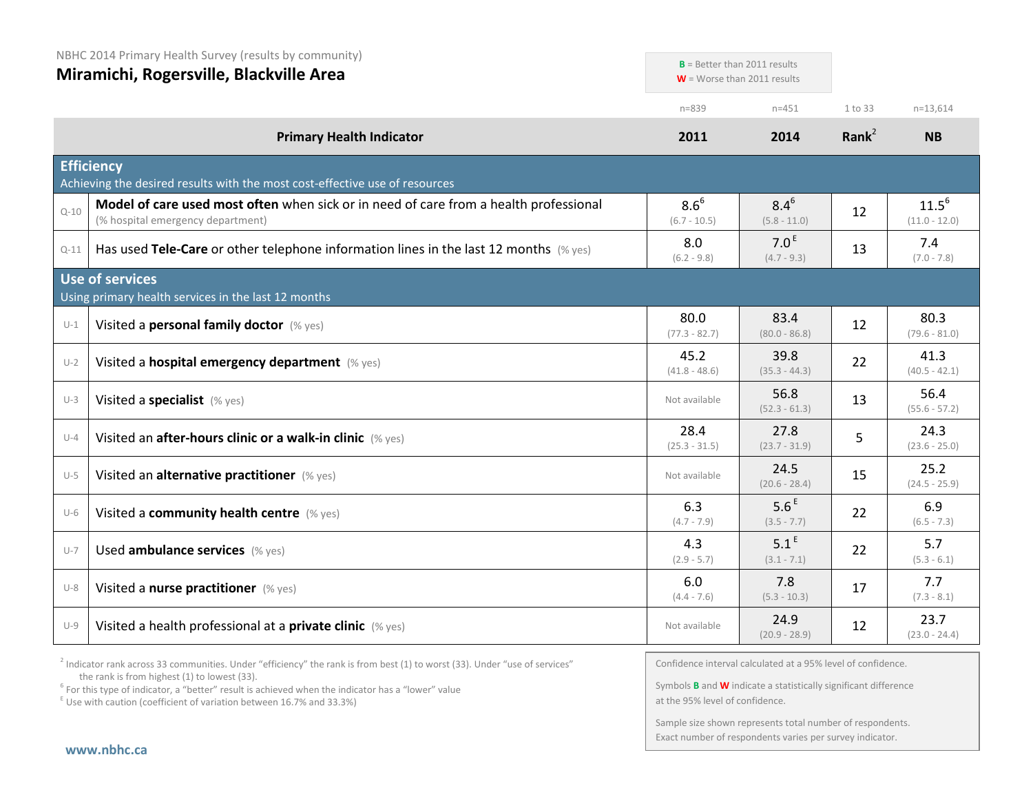|          | NBHC 2014 Primary Health Survey (results by community)<br>Miramichi, Rogersville, Blackville Area                          |                             | $B$ = Better than 2011 results<br>$W =$ Worse than 2011 results |          |                               |
|----------|----------------------------------------------------------------------------------------------------------------------------|-----------------------------|-----------------------------------------------------------------|----------|-------------------------------|
|          |                                                                                                                            | $n = 839$                   | $n = 451$                                                       | 1 to 33  | $n=13.614$                    |
|          | <b>Primary Health Indicator</b>                                                                                            | 2011                        | 2014                                                            | Rank $2$ | <b>NB</b>                     |
|          | <b>Efficiency</b><br>Achieving the desired results with the most cost-effective use of resources                           |                             |                                                                 |          |                               |
| $Q - 10$ | Model of care used most often when sick or in need of care from a health professional<br>(% hospital emergency department) | $8.6^{6}$<br>$(6.7 - 10.5)$ | $8.4^{6}$<br>$(5.8 - 11.0)$                                     | 12       | $11.5^{6}$<br>$(11.0 - 12.0)$ |
| $Q-11$   | Has used Tele-Care or other telephone information lines in the last 12 months $(\%$ yes)                                   | 8.0<br>$(6.2 - 9.8)$        | 7.0 <sup>E</sup><br>$(4.7 - 9.3)$                               | 13       | 7.4<br>$(7.0 - 7.8)$          |
|          | <b>Use of services</b><br>Using primary health services in the last 12 months                                              |                             |                                                                 |          |                               |
| $U-1$    | Visited a personal family doctor (% yes)                                                                                   | 80.0<br>$(77.3 - 82.7)$     | 83.4<br>$(80.0 - 86.8)$                                         | 12       | 80.3<br>$(79.6 - 81.0)$       |
| $U-2$    | Visited a hospital emergency department (% yes)                                                                            | 45.2<br>$(41.8 - 48.6)$     | 39.8<br>$(35.3 - 44.3)$                                         | 22       | 41.3<br>$(40.5 - 42.1)$       |
| $U-3$    | Visited a specialist (% yes)                                                                                               | Not available               | 56.8<br>$(52.3 - 61.3)$                                         | 13       | 56.4<br>$(55.6 - 57.2)$       |
| $U-4$    | Visited an after-hours clinic or a walk-in clinic (% yes)                                                                  | 28.4<br>$(25.3 - 31.5)$     | 27.8<br>$(23.7 - 31.9)$                                         | 5        | 24.3<br>$(23.6 - 25.0)$       |
| $U-5$    | Visited an alternative practitioner (% yes)                                                                                | Not available               | 24.5<br>$(20.6 - 28.4)$                                         | 15       | 25.2<br>$(24.5 - 25.9)$       |
| $U-6$    | Visited a community health centre (% yes)                                                                                  | 6.3<br>$(4.7 - 7.9)$        | 5.6 <sup>E</sup><br>$(3.5 - 7.7)$                               | 22       | 6.9<br>$(6.5 - 7.3)$          |
| $U - 7$  | Used ambulance services (% yes)                                                                                            | 4.3<br>$(2.9 - 5.7)$        | 5.1 <sup>E</sup><br>$(3.1 - 7.1)$                               | 22       | 5.7<br>$(5.3 - 6.1)$          |
| $U-8$    | Visited a nurse practitioner (% yes)                                                                                       | 6.0<br>$(4.4 - 7.6)$        | 7.8<br>$(5.3 - 10.3)$                                           | 17       | 7.7<br>$(7.3 - 8.1)$          |
| $U-9$    | Visited a health professional at a <b>private clinic</b> (% yes)                                                           | Not available               | 24.9<br>$(20.9 - 28.9)$                                         | 12       | 23.7<br>$(23.0 - 24.4)$       |

<sup>2</sup> Indicator rank across 33 communities. Under "efficiency" the rank is from best (1) to worst (33). Under "use of services" the rank is from highest (1) to lowest (33).

<sup>6</sup> For this type of indicator, a "better" result is achieved when the indicator has a "lower" value  $E$ <sup>E</sup> Use with caution (coefficient of variation between 16.7% and 33.3%)

Confidence interval calculated at a 95% level of confidence.

Symbols **B** and **W** indicate a statistically significant difference at the 95% level of confidence.

Sample size shown represents total number of respondents. Exact number of respondents varies per survey indicator.